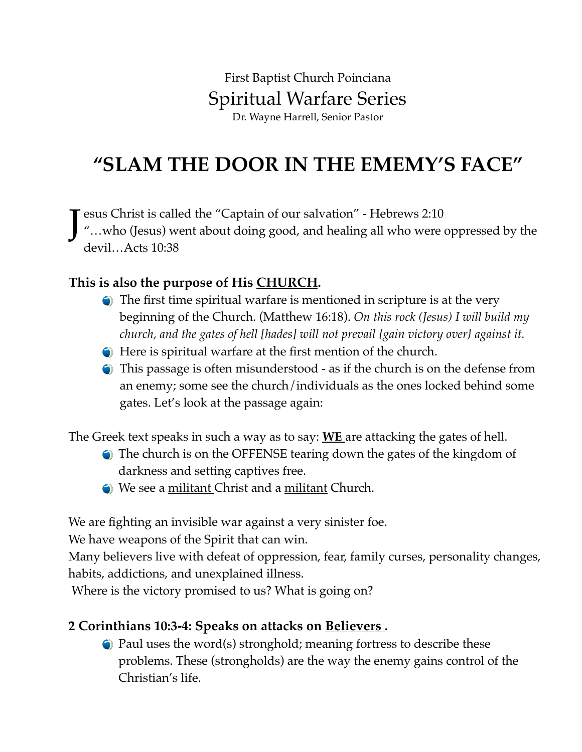# First Baptist Church Poinciana Spiritual Warfare Series

Dr. Wayne Harrell, Senior Pastor

## **"SLAM THE DOOR IN THE EMEMY'S FACE"**

J esus Christ is called the "Captain of our salvation" - Hebrews 2:10<br>"...who (Jesus) went about doing good, and healing all who were "…who (Jesus) went about doing good, and healing all who were oppressed by the

devil…Acts 10:38

#### **This is also the purpose of His CHURCH.**

- The first time spiritual warfare is mentioned in scripture is at the very beginning of the Church. (Matthew 16:18). *On this rock (Jesus) I will build my church, and the gates of hell [hades] will not prevail {gain victory over} against it.*
- Here is spiritual warfare at the first mention of the church.
- This passage is often misunderstood as if the church is on the defense from an enemy; some see the church/individuals as the ones locked behind some gates. Let's look at the passage again:

The Greek text speaks in such a way as to say: **WE** are attacking the gates of hell.

- The church is on the OFFENSE tearing down the gates of the kingdom of darkness and setting captives free.
- We see a militant Christ and a militant Church.

We are fighting an invisible war against a very sinister foe.

We have weapons of the Spirit that can win.

Many believers live with defeat of oppression, fear, family curses, personality changes, habits, addictions, and unexplained illness.

Where is the victory promised to us? What is going on?

#### **2 Corinthians 10:3-4: Speaks on attacks on Believers .**

 $\bigcirc$  Paul uses the word(s) stronghold; meaning fortress to describe these problems. These (strongholds) are the way the enemy gains control of the Christian's life.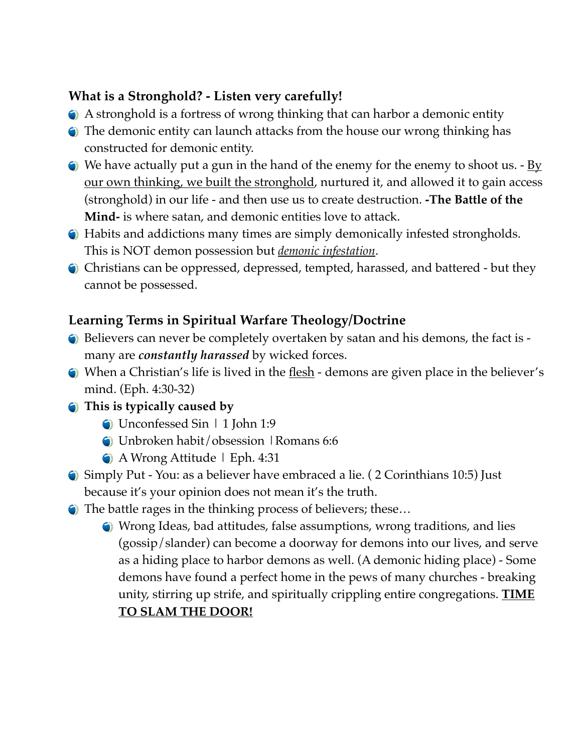### **What is a Stronghold? - Listen very carefully!**

- A stronghold is a fortress of wrong thinking that can harbor a demonic entity
- The demonic entity can launch attacks from the house our wrong thinking has constructed for demonic entity.
- $\bullet$  We have actually put a gun in the hand of the enemy for the enemy to shoot us. <u>By</u> our own thinking, we built the stronghold, nurtured it, and allowed it to gain access (stronghold) in our life - and then use us to create destruction. **-The Battle of the Mind-** is where satan, and demonic entities love to attack.
- Habits and addictions many times are simply demonically infested strongholds. This is NOT demon possession but *demonic infestation*.
- Christians can be oppressed, depressed, tempted, harassed, and battered but they cannot be possessed.

### **Learning Terms in Spiritual Warfare Theology/Doctrine**

- Believers can never be completely overtaken by satan and his demons, the fact is many are *constantly harassed* by wicked forces.
- When a Christian's life is lived in the flesh demons are given place in the believer's mind. (Eph. 4:30-32)

#### **This is typically caused by**

- Unconfessed Sin | 1 John 1:9
- Unbroken habit/obsession |Romans 6:6
- A Wrong Attitude | Eph. 4:31
- Simply Put You: as a believer have embraced a lie. ( 2 Corinthians 10:5) Just because it's your opinion does not mean it's the truth.
- The battle rages in the thinking process of believers; these…
	- Wrong Ideas, bad attitudes, false assumptions, wrong traditions, and lies (gossip/slander) can become a doorway for demons into our lives, and serve as a hiding place to harbor demons as well. (A demonic hiding place) - Some demons have found a perfect home in the pews of many churches - breaking unity, stirring up strife, and spiritually crippling entire congregations. **TIME TO SLAM THE DOOR!**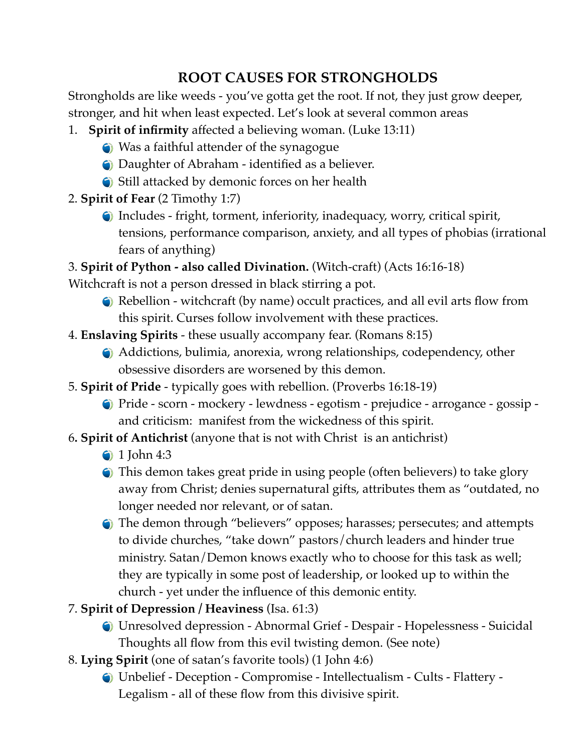## **ROOT CAUSES FOR STRONGHOLDS**

Strongholds are like weeds - you've gotta get the root. If not, they just grow deeper, stronger, and hit when least expected. Let's look at several common areas

- 1. **Spirit of infirmity** affected a believing woman. (Luke 13:11)
	- Was a faithful attender of the synagogue
	- Daughter of Abraham identified as a believer.
	- Still attacked by demonic forces on her health
- 2. **Spirit of Fear** (2 Timothy 1:7)
	- Includes fright, torment, inferiority, inadequacy, worry, critical spirit, tensions, performance comparison, anxiety, and all types of phobias (irrational fears of anything)

## 3. **Spirit of Python - also called Divination.** (Witch-craft) (Acts 16:16-18)

Witchcraft is not a person dressed in black stirring a pot.

- Rebellion witchcraft (by name) occult practices, and all evil arts flow from this spirit. Curses follow involvement with these practices.
- 4. **Enslaving Spirits**  these usually accompany fear. (Romans 8:15)
	- Addictions, bulimia, anorexia, wrong relationships, codependency, other obsessive disorders are worsened by this demon.
- 5. **Spirit of Pride** typically goes with rebellion. (Proverbs 16:18-19)
	- Pride scorn mockery lewdness egotism prejudice arrogance gossip and criticism: manifest from the wickedness of this spirit.
- 6**. Spirit of Antichrist** (anyone that is not with Christ is an antichrist)
	- $\bigcirc$  1 John 4:3
	- This demon takes great pride in using people (often believers) to take glory away from Christ; denies supernatural gifts, attributes them as "outdated, no longer needed nor relevant, or of satan.
	- The demon through "believers" opposes; harasses; persecutes; and attempts to divide churches, "take down" pastors/church leaders and hinder true ministry. Satan/Demon knows exactly who to choose for this task as well; they are typically in some post of leadership, or looked up to within the church - yet under the influence of this demonic entity.
- 7. **Spirit of Depression / Heaviness** (Isa. 61:3)
	- Unresolved depression Abnormal Grief Despair Hopelessness Suicidal Thoughts all flow from this evil twisting demon. (See note)
- 8. **Lying Spirit** (one of satan's favorite tools) (1 John 4:6)
	- Unbelief Deception Compromise Intellectualism Cults Flattery Legalism - all of these flow from this divisive spirit.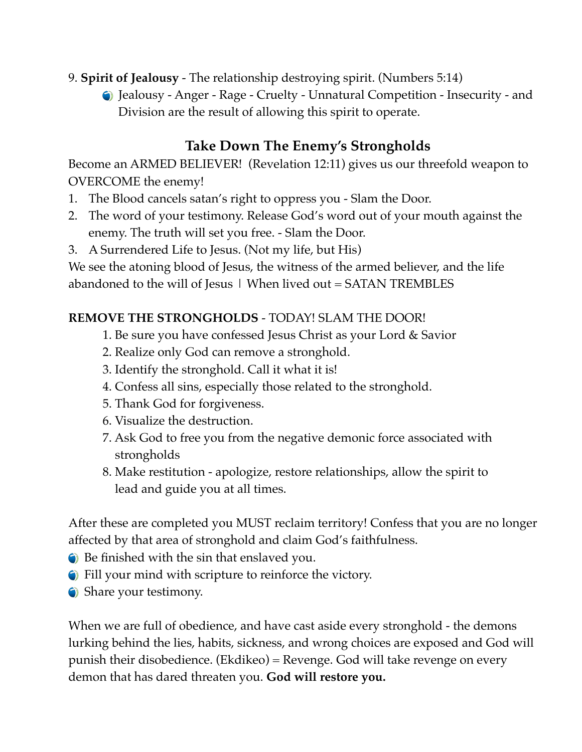- 9. **Spirit of Jealousy** The relationship destroying spirit. (Numbers 5:14)
	- Jealousy Anger Rage Cruelty Unnatural Competition Insecurity and Division are the result of allowing this spirit to operate.

## **Take Down The Enemy's Strongholds**

Become an ARMED BELIEVER! (Revelation 12:11) gives us our threefold weapon to OVERCOME the enemy!

- 1. The Blood cancels satan's right to oppress you Slam the Door.
- 2. The word of your testimony. Release God's word out of your mouth against the enemy. The truth will set you free. - Slam the Door.
- 3. A Surrendered Life to Jesus. (Not my life, but His)

We see the atoning blood of Jesus, the witness of the armed believer, and the life abandoned to the will of Jesus  $\mid$  When lived out = SATAN TREMBLES

#### **REMOVE THE STRONGHOLDS** - TODAY! SLAM THE DOOR!

- 1. Be sure you have confessed Jesus Christ as your Lord & Savior
- 2. Realize only God can remove a stronghold.
- 3. Identify the stronghold. Call it what it is!
- 4. Confess all sins, especially those related to the stronghold.
- 5. Thank God for forgiveness.
- 6. Visualize the destruction.
- 7. Ask God to free you from the negative demonic force associated with strongholds
- 8. Make restitution apologize, restore relationships, allow the spirit to lead and guide you at all times.

After these are completed you MUST reclaim territory! Confess that you are no longer affected by that area of stronghold and claim God's faithfulness.

- Be finished with the sin that enslaved you.
- Fill your mind with scripture to reinforce the victory.
- Share your testimony.

When we are full of obedience, and have cast aside every stronghold - the demons lurking behind the lies, habits, sickness, and wrong choices are exposed and God will punish their disobedience. (Ekdikeo) = Revenge. God will take revenge on every demon that has dared threaten you. **God will restore you.**